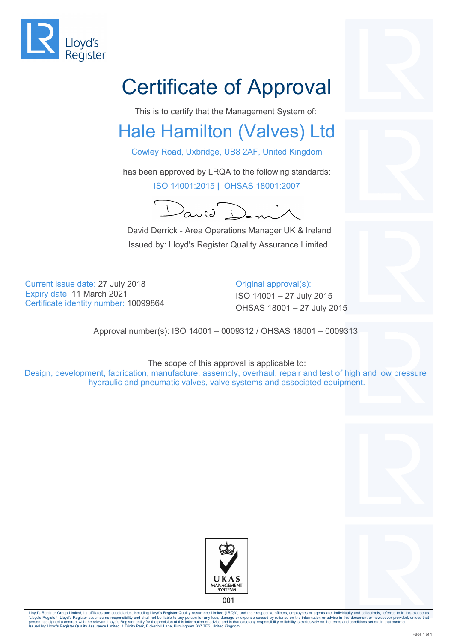

## Certificate of Approval

This is to certify that the Management System of:

## Hale Hamilton (Valves) Ltd

Cowley Road, Uxbridge, UB8 2AF, United Kingdom

has been approved by LRQA to the following standards: ISO 14001:2015 **|** OHSAS 18001:2007

 $\lambda$ anid

 David Derrick - Area Operations Manager UK & Ireland Issued by: Lloyd's Register Quality Assurance Limited

Current issue date: 27 July 2018 Current issue date: 27 July 2018 Expiry date: 11 March 2021 **ISO 14001** – 27 July 2015

OHSAS 18001 – 27 July 2015 Certificate identity number: <sup>10099864</sup>

Approval number(s): ISO 14001 – 0009312 / OHSAS 18001 – 0009313

The scope of this approval is applicable to: Design, development, fabrication, manufacture, assembly, overhaul, repair and test of high and low pressure hydraulic and pneumatic valves, valve systems and associated equipment.







Lloyd's Register Group Limited, its affiliates and subsidiaries, including Lloyd's Register Quality Assurance Limited (LRQA), and their respective officers, employees or agents are, individually and collectively, referred